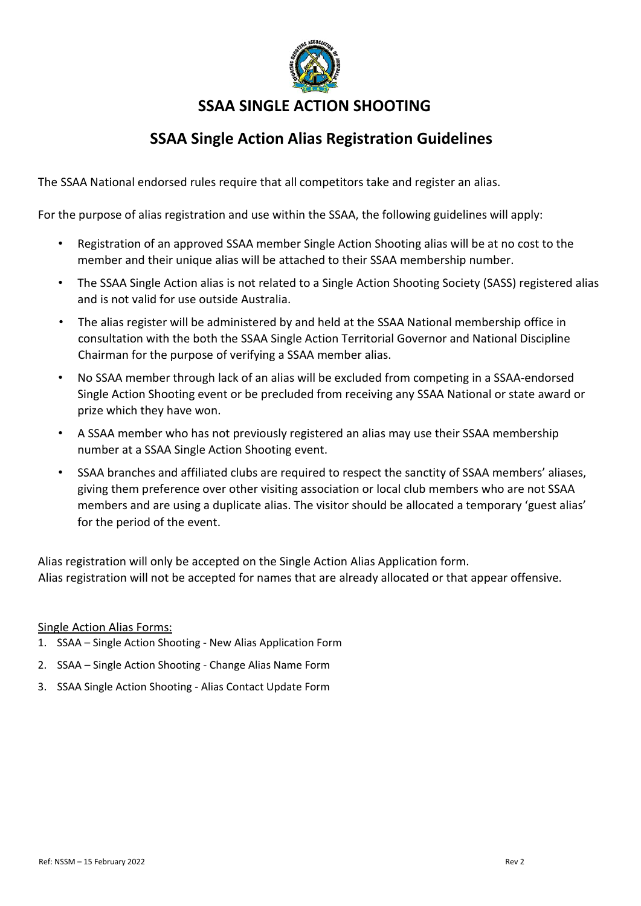

## **SSAA Single Action Alias Registration Guidelines**

The SSAA National endorsed rules require that all competitors take and register an alias.

For the purpose of alias registration and use within the SSAA, the following guidelines will apply:

- Registration of an approved SSAA member Single Action Shooting alias will be at no cost to the member and their unique alias will be attached to their SSAA membership number.
- The SSAA Single Action alias is not related to a Single Action Shooting Society (SASS) registered alias and is not valid for use outside Australia.
- The alias register will be administered by and held at the SSAA National membership office in consultation with the both the SSAA Single Action Territorial Governor and National Discipline Chairman for the purpose of verifying a SSAA member alias.
- No SSAA member through lack of an alias will be excluded from competing in a SSAA-endorsed Single Action Shooting event or be precluded from receiving any SSAA National or state award or prize which they have won.
- A SSAA member who has not previously registered an alias may use their SSAA membership number at a SSAA Single Action Shooting event.
- SSAA branches and affiliated clubs are required to respect the sanctity of SSAA members' aliases, giving them preference over other visiting association or local club members who are not SSAA members and are using a duplicate alias. The visitor should be allocated a temporary 'guest alias' for the period of the event.

Alias registration will only be accepted on the Single Action Alias Application form. Alias registration will not be accepted for names that are already allocated or that appear offensive.

#### Single Action Alias Forms:

- 1. SSAA Single Action Shooting New Alias Application Form
- 2. SSAA Single Action Shooting Change Alias Name Form
- 3. SSAA Single Action Shooting Alias Contact Update Form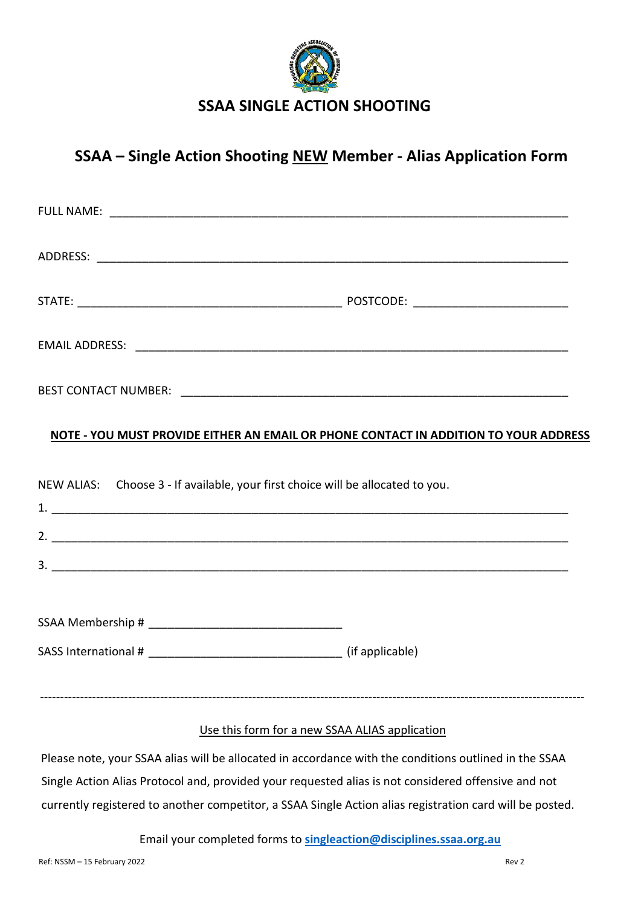

## **SSAA – Single Action Shooting NEW Member - Alias Application Form**

|                                                                                 | NOTE - YOU MUST PROVIDE EITHER AN EMAIL OR PHONE CONTACT IN ADDITION TO YOUR ADDRESS |  |
|---------------------------------------------------------------------------------|--------------------------------------------------------------------------------------|--|
| NEW ALIAS: Choose 3 - If available, your first choice will be allocated to you. |                                                                                      |  |
|                                                                                 |                                                                                      |  |
|                                                                                 |                                                                                      |  |
|                                                                                 |                                                                                      |  |
|                                                                                 |                                                                                      |  |
|                                                                                 |                                                                                      |  |

#### Use this form for a new SSAA ALIAS application

Please note, your SSAA alias will be allocated in accordance with the conditions outlined in the SSAA Single Action Alias Protocol and, provided your requested alias is not considered offensive and not currently registered to another competitor, a SSAA Single Action alias registration card will be posted.

Email your completed forms to **[singleaction@disciplines.ssaa.org.au](mailto:singleaction@disciplines.ssaa.org.au)**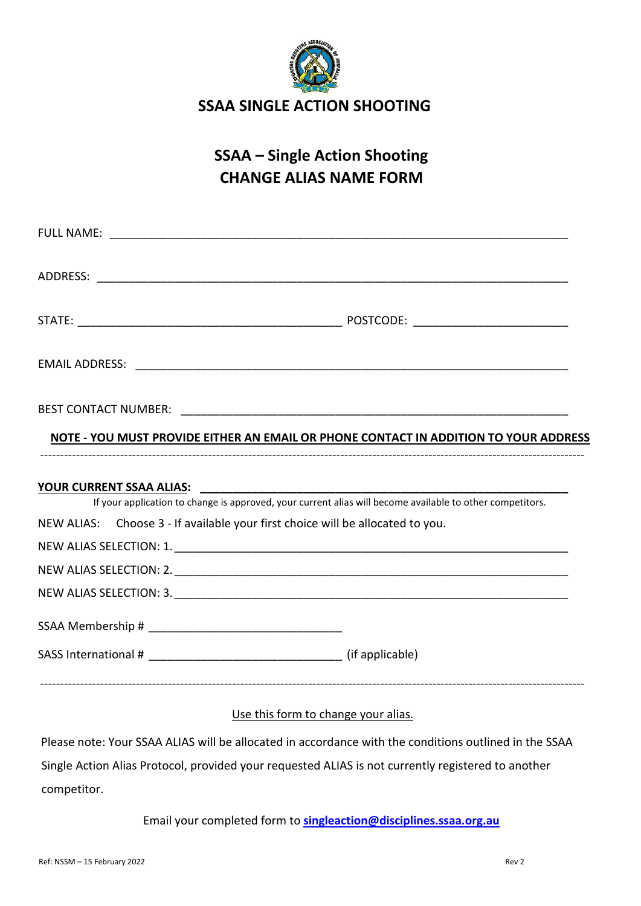

# **SSAA – Single Action Shooting CHANGE ALIAS NAME FORM**

|                                                                                | NOTE - YOU MUST PROVIDE EITHER AN EMAIL OR PHONE CONTACT IN ADDITION TO YOUR ADDRESS                      |
|--------------------------------------------------------------------------------|-----------------------------------------------------------------------------------------------------------|
|                                                                                |                                                                                                           |
|                                                                                | If your application to change is approved, your current alias will become available to other competitors. |
| NEW ALIAS: Choose 3 - If available your first choice will be allocated to you. |                                                                                                           |
|                                                                                |                                                                                                           |
|                                                                                |                                                                                                           |
|                                                                                |                                                                                                           |
|                                                                                |                                                                                                           |
|                                                                                |                                                                                                           |
|                                                                                |                                                                                                           |

#### Use this form to change your alias.

Please note: Your SSAA ALIAS will be allocated in accordance with the conditions outlined in the SSAA Single Action Alias Protocol, provided your requested ALIAS is not currently registered to another competitor.

Email your completed form to **singleaction@disciplines.ssaa.org.au**